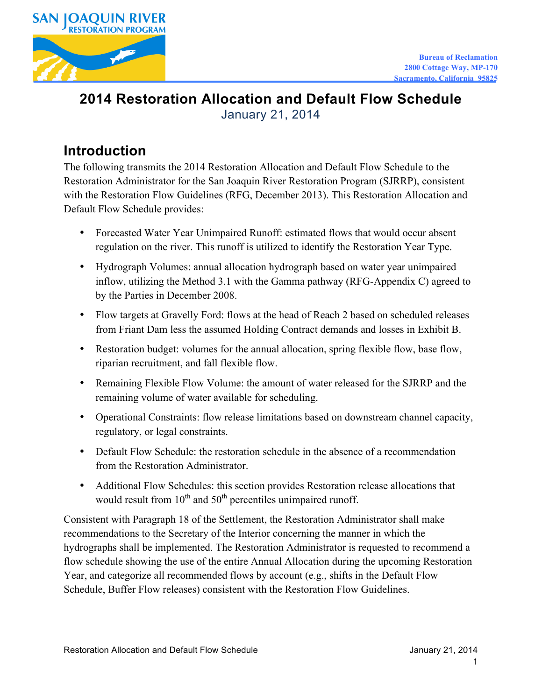

#### **2014 Restoration Allocation and Default Flow Schedule**  January 21, 2014

## **Introduction**

The following transmits the 2014 Restoration Allocation and Default Flow Schedule to the Restoration Administrator for the San Joaquin River Restoration Program (SJRRP), consistent with the Restoration Flow Guidelines (RFG, December 2013). This Restoration Allocation and Default Flow Schedule provides:

- Forecasted Water Year Unimpaired Runoff: estimated flows that would occur absent regulation on the river. This runoff is utilized to identify the Restoration Year Type.
- • Hydrograph Volumes: annual allocation hydrograph based on water year unimpaired inflow, utilizing the Method 3.1 with the Gamma pathway (RFG-Appendix C) agreed to by the Parties in December 2008.
- Flow targets at Gravelly Ford: flows at the head of Reach 2 based on scheduled releases from Friant Dam less the assumed Holding Contract demands and losses in Exhibit B.
- Restoration budget: volumes for the annual allocation, spring flexible flow, base flow, riparian recruitment, and fall flexible flow.
- Remaining Flexible Flow Volume: the amount of water released for the SJRRP and the remaining volume of water available for scheduling.
- Operational Constraints: flow release limitations based on downstream channel capacity, regulatory, or legal constraints.
- Default Flow Schedule: the restoration schedule in the absence of a recommendation from the Restoration Administrator.
- Additional Flow Schedules: this section provides Restoration release allocations that would result from  $10^{th}$  and  $50^{th}$  percentiles unimpaired runoff.

Consistent with Paragraph 18 of the Settlement, the Restoration Administrator shall make recommendations to the Secretary of the Interior concerning the manner in which the hydrographs shall be implemented. The Restoration Administrator is requested to recommend a flow schedule showing the use of the entire Annual Allocation during the upcoming Restoration Year, and categorize all recommended flows by account (e.g., shifts in the Default Flow Schedule, Buffer Flow releases) consistent with the Restoration Flow Guidelines.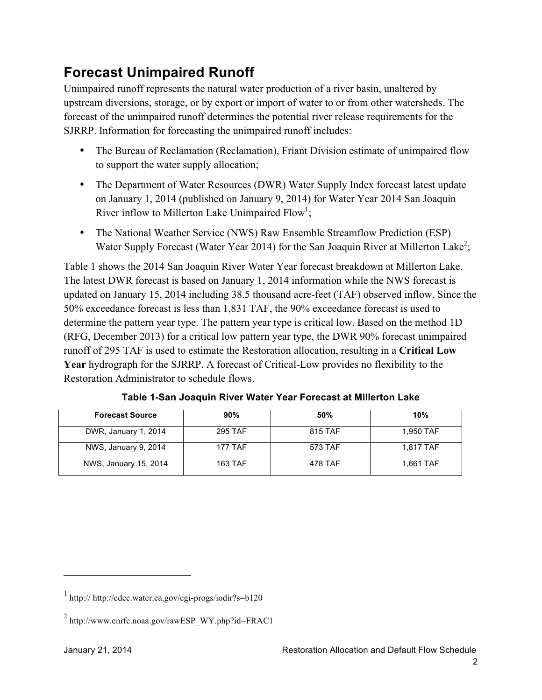# **Forecast Unimpaired Runoff**

Unimpaired runoff represents the natural water production of a river basin, unaltered by upstream diversions, storage, or by export or import of water to or from other watersheds. The forecast of the unimpaired runoff determines the potential river release requirements for the SJRRP. Information for forecasting the unimpaired runoff includes:

- The Bureau of Reclamation (Reclamation), Friant Division estimate of unimpaired flow to support the water supply allocation;
- The Department of Water Resources (DWR) Water Supply Index forecast latest update on January 1, 2014 (published on January 9, 2014) for Water Year 2014 San Joaquin River inflow to Millerton Lake Unimpaired  $Flow<sup>1</sup>$ ;
- The National Weather Service (NWS) Raw Ensemble Streamflow Prediction (ESP) Water Supply Forecast (Water Year 2014) for the San Joaquin River at Millerton Lake<sup>2</sup>;

Table 1 shows the 2014 San Joaquin River Water Year forecast breakdown at Millerton Lake. The latest DWR forecast is based on January 1, 2014 information while the NWS forecast is updated on January 15, 2014 including 38.5 thousand acre-feet (TAF) observed inflow. Since the 50% exceedance forecast is less than 1,831 TAF, the 90% exceedance forecast is used to determine the pattern year type. The pattern year type is critical low. Based on the method 1D (RFG, December 2013) for a critical low pattern year type, the DWR 90% forecast unimpaired runoff of 295 TAF is used to estimate the Restoration allocation, resulting in a **Critical Low Year** hydrograph for the SJRRP. A forecast of Critical-Low provides no flexibility to the Restoration Administrator to schedule flows.

| <b>Forecast Source</b> | 90%     | 50%     | 10%       |
|------------------------|---------|---------|-----------|
| DWR, January 1, 2014   | 295 TAF | 815 TAF | 1.950 TAF |
| NWS, January 9, 2014   | 177 TAF | 573 TAF | 1.817 TAF |
| NWS, January 15, 2014  | 163 TAF | 478 TAF | 1.661 TAF |

 **Table 1-San Joaquin River Water Year Forecast at Millerton Lake** 

 $\overline{a}$ 

<sup>1</sup> http:// http://cdec.water.ca.gov/cgi-progs/iodir?s=b120

<sup>2</sup> http://www.cnrfc.noaa.gov/rawESP\_WY.php?id=FRAC1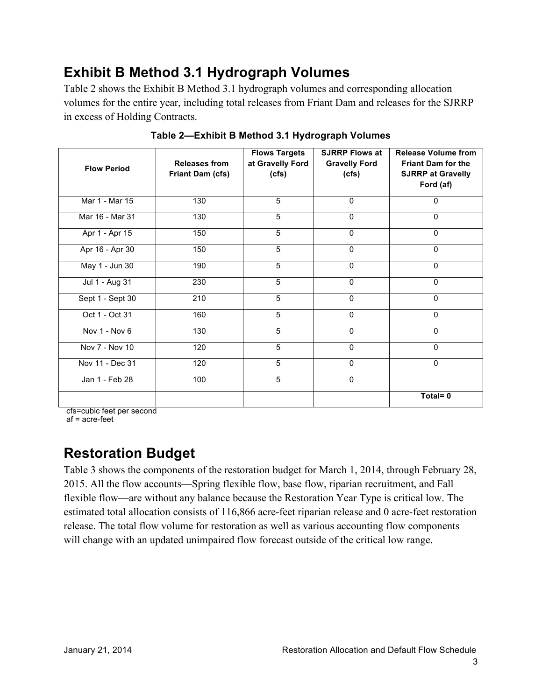## **Exhibit B Method 3.1 Hydrograph Volumes**

Table 2 shows the Exhibit B Method 3.1 hydrograph volumes and corresponding allocation volumes for the entire year, including total releases from Friant Dam and releases for the SJRRP in excess of Holding Contracts.

| <b>Flow Period</b> | <b>Releases from</b><br>Friant Dam (cfs) | <b>Flows Targets</b><br>at Gravelly Ford<br>(cfs) | <b>SJRRP Flows at</b><br><b>Gravelly Ford</b><br>(cfs) | <b>Release Volume from</b><br><b>Friant Dam for the</b><br><b>SJRRP at Gravelly</b><br>Ford (af) |
|--------------------|------------------------------------------|---------------------------------------------------|--------------------------------------------------------|--------------------------------------------------------------------------------------------------|
| Mar 1 - Mar 15     | 130                                      | 5                                                 | $\mathbf 0$                                            | $\mathbf{0}$                                                                                     |
| Mar 16 - Mar 31    | 130                                      | $\overline{5}$                                    | $\mathbf{0}$                                           | $\mathbf{0}$                                                                                     |
| Apr 1 - Apr 15     | 150                                      | 5                                                 | $\Omega$                                               | $\Omega$                                                                                         |
| Apr 16 - Apr 30    | 150                                      | 5                                                 | $\pmb{0}$                                              | $\mathbf 0$                                                                                      |
| May 1 - Jun 30     | 190                                      | 5                                                 | $\mathbf 0$                                            | $\mathbf{0}$                                                                                     |
| Jul 1 - Aug 31     | 230                                      | 5                                                 | $\mathbf{0}$                                           | $\mathbf 0$                                                                                      |
| Sept 1 - Sept 30   | 210                                      | 5                                                 | $\mathbf{0}$                                           | $\mathbf{0}$                                                                                     |
| Oct 1 - Oct 31     | 160                                      | $\overline{5}$                                    | $\mathbf 0$                                            | $\mathbf{0}$                                                                                     |
| Nov 1 - Nov 6      | 130                                      | 5                                                 | $\mathbf 0$                                            | $\Omega$                                                                                         |
| Nov 7 - Nov 10     | 120                                      | $\overline{5}$                                    | $\mathbf{0}$                                           | $\mathbf 0$                                                                                      |
| Nov 11 - Dec 31    | 120                                      | 5                                                 | $\mathbf 0$                                            | $\Omega$                                                                                         |
| Jan 1 - Feb 28     | 100                                      | 5                                                 | $\mathbf{0}$                                           |                                                                                                  |
|                    |                                          |                                                   |                                                        | Total=0                                                                                          |

**Table 2—Exhibit B Method 3.1 Hydrograph Volumes** 

cfs=cubic feet per second

af = acre-feet

## **Restoration Budget**

Table 3 shows the components of the restoration budget for March 1, 2014, through February 28, 2015. All the flow accounts—Spring flexible flow, base flow, riparian recruitment, and Fall flexible flow—are without any balance because the Restoration Year Type is critical low. The estimated total allocation consists of 116,866 acre-feet riparian release and 0 acre-feet restoration release. The total flow volume for restoration as well as various accounting flow components will change with an updated unimpaired flow forecast outside of the critical low range.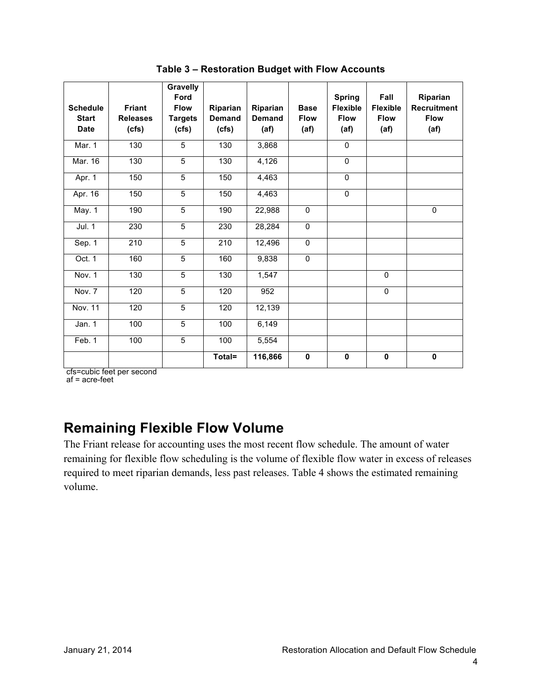| <b>Schedule</b><br><b>Start</b><br><b>Date</b> | <b>Friant</b><br><b>Releases</b><br>(cfs) | Gravelly<br>Ford<br><b>Flow</b><br><b>Targets</b><br>(cfs) | Riparian<br><b>Demand</b><br>(cfs) | Riparian<br><b>Demand</b><br>(af) | <b>Base</b><br><b>Flow</b><br>(af) | <b>Spring</b><br><b>Flexible</b><br><b>Flow</b><br>(a f) | Fall<br><b>Flexible</b><br><b>Flow</b><br>(a f) | Riparian<br>Recruitment<br><b>Flow</b><br>(af) |
|------------------------------------------------|-------------------------------------------|------------------------------------------------------------|------------------------------------|-----------------------------------|------------------------------------|----------------------------------------------------------|-------------------------------------------------|------------------------------------------------|
| Mar. 1                                         | 130                                       | 5                                                          | 130                                | 3,868                             |                                    | $\mathbf 0$                                              |                                                 |                                                |
| Mar. 16                                        | 130                                       | $\overline{5}$                                             | 130                                | 4,126                             |                                    | $\Omega$                                                 |                                                 |                                                |
| Apr. 1                                         | 150                                       | 5                                                          | 150                                | 4,463                             |                                    | $\Omega$                                                 |                                                 |                                                |
| Apr. 16                                        | 150                                       | 5                                                          | 150                                | 4,463                             |                                    | $\Omega$                                                 |                                                 |                                                |
| <b>May. 1</b>                                  | 190                                       | $\overline{5}$                                             | 190                                | 22,988                            | $\overline{0}$                     |                                                          |                                                 | $\mathbf 0$                                    |
| Jul. 1                                         | 230                                       | $\overline{5}$                                             | 230                                | 28,284                            | $\overline{0}$                     |                                                          |                                                 |                                                |
| Sep. $1$                                       | 210                                       | 5                                                          | 210                                | 12,496                            | 0                                  |                                                          |                                                 |                                                |
| Oct. 1                                         | 160                                       | $\overline{5}$                                             | 160                                | 9,838                             | 0                                  |                                                          |                                                 |                                                |
| Nov. 1                                         | 130                                       | 5                                                          | 130                                | 1,547                             |                                    |                                                          | $\Omega$                                        |                                                |
| Nov. 7                                         | 120                                       | 5                                                          | 120                                | 952                               |                                    |                                                          | $\Omega$                                        |                                                |
| Nov. 11                                        | 120                                       | 5                                                          | 120                                | 12,139                            |                                    |                                                          |                                                 |                                                |
| Jan. $1$                                       | 100                                       | $\overline{5}$                                             | 100                                | 6,149                             |                                    |                                                          |                                                 |                                                |
| Feb. 1                                         | 100                                       | 5                                                          | 100                                | 5,554                             |                                    |                                                          |                                                 |                                                |
|                                                |                                           |                                                            | Total=                             | 116,866                           | 0                                  | $\mathbf 0$                                              | $\mathbf 0$                                     | $\pmb{0}$                                      |

 **Table 3 – Restoration Budget with Flow Accounts** 

cfs=cubic feet per second

af = acre-feet

### **Remaining Flexible Flow Volume**

The Friant release for accounting uses the most recent flow schedule. The amount of water remaining for flexible flow scheduling is the volume of flexible flow water in excess of releases required to meet riparian demands, less past releases. Table 4 shows the estimated remaining volume.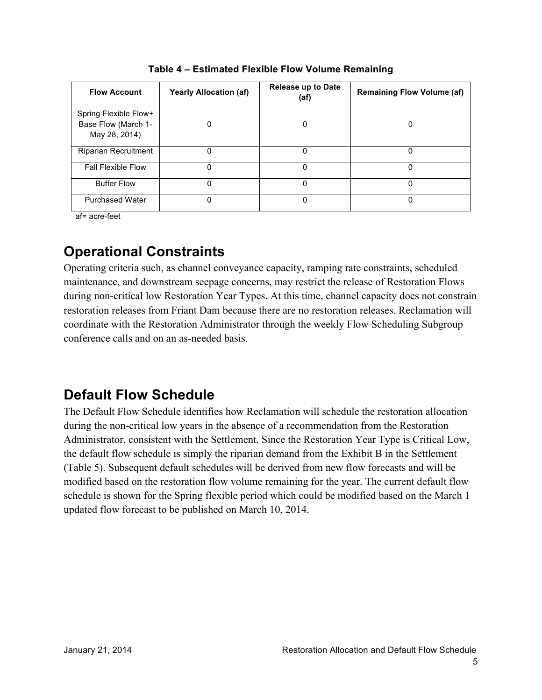| <b>Flow Account</b>                                           | <b>Yearly Allocation (af)</b> | <b>Release up to Date</b><br>(af) | <b>Remaining Flow Volume (af)</b> |
|---------------------------------------------------------------|-------------------------------|-----------------------------------|-----------------------------------|
| Spring Flexible Flow+<br>Base Flow (March 1-<br>May 28, 2014) |                               | 0                                 | 0                                 |
| <b>Riparian Recruitment</b>                                   | 0                             | 0                                 | 0                                 |
| <b>Fall Flexible Flow</b>                                     | 0                             | 0                                 | 0                                 |
| <b>Buffer Flow</b>                                            | 0                             | 0                                 | 0                                 |
| <b>Purchased Water</b>                                        | ი                             | ი                                 | 0                                 |

 **Table 4 – Estimated Flexible Flow Volume Remaining** 

af= acre-feet

## **Operational Constraints**

Operating criteria such, as channel conveyance capacity, ramping rate constraints, scheduled maintenance, and downstream seepage concerns, may restrict the release of Restoration Flows during non-critical low Restoration Year Types. At this time, channel capacity does not constrain restoration releases from Friant Dam because there are no restoration releases. Reclamation will coordinate with the Restoration Administrator through the weekly Flow Scheduling Subgroup conference calls and on an as-needed basis.

### **Default Flow Schedule**

The Default Flow Schedule identifies how Reclamation will schedule the restoration allocation during the non-critical low years in the absence of a recommendation from the Restoration Administrator, consistent with the Settlement. Since the Restoration Year Type is Critical Low, the default flow schedule is simply the riparian demand from the Exhibit B in the Settlement (Table 5). Subsequent default schedules will be derived from new flow forecasts and will be modified based on the restoration flow volume remaining for the year. The current default flow schedule is shown for the Spring flexible period which could be modified based on the March 1 updated flow forecast to be published on March 10, 2014.